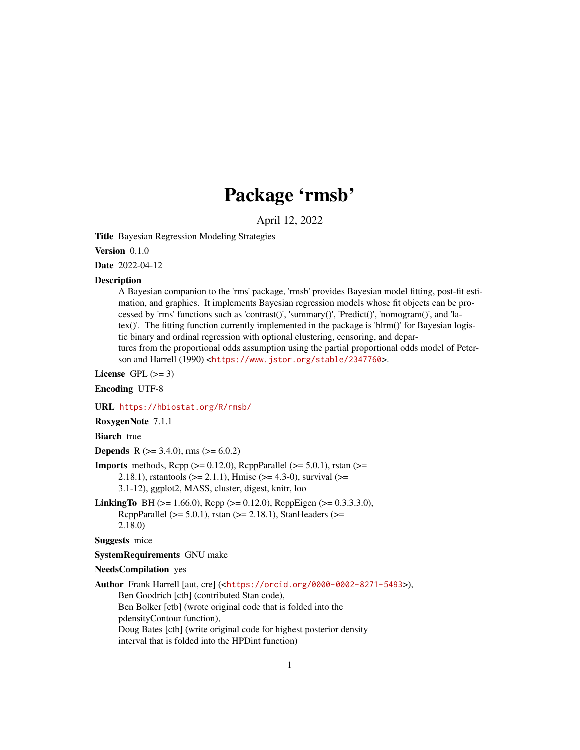# Package 'rmsb'

April 12, 2022

<span id="page-0-0"></span>Title Bayesian Regression Modeling Strategies

Version 0.1.0

Date 2022-04-12

#### **Description**

A Bayesian companion to the 'rms' package, 'rmsb' provides Bayesian model fitting, post-fit estimation, and graphics. It implements Bayesian regression models whose fit objects can be processed by 'rms' functions such as 'contrast()', 'summary()', 'Predict()', 'nomogram()', and 'latex()'. The fitting function currently implemented in the package is 'blrm()' for Bayesian logistic binary and ordinal regression with optional clustering, censoring, and departures from the proportional odds assumption using the partial proportional odds model of Peterson and Harrell (1990) <<https://www.jstor.org/stable/2347760>>.

License GPL  $(>= 3)$ 

Encoding UTF-8

URL <https://hbiostat.org/R/rmsb/>

RoxygenNote 7.1.1

**Biarch** true

**Depends** R ( $>= 3.4.0$ ), rms ( $>= 6.0.2$ )

- **Imports** methods,  $\text{Rcpp}$  ( $>= 0.12.0$ ),  $\text{RcppParallel}$  ( $>= 5.0.1$ ), rstan ( $>=$ 2.18.1), rstantools ( $>= 2.1.1$ ), Hmisc ( $>= 4.3-0$ ), survival ( $>=$ 3.1-12), ggplot2, MASS, cluster, digest, knitr, loo
- **LinkingTo** BH ( $>= 1.66.0$ ), Rcpp ( $>= 0.12.0$ ), RcppEigen ( $>= 0.3.3.3.0$ ), RcppParallel ( $>= 5.0.1$ ), rstan ( $>= 2.18.1$ ), StanHeaders ( $>=$ 2.18.0)

Suggests mice

SystemRequirements GNU make

#### NeedsCompilation yes

Author Frank Harrell [aut, cre] (<<https://orcid.org/0000-0002-8271-5493>>), Ben Goodrich [ctb] (contributed Stan code), Ben Bolker [ctb] (wrote original code that is folded into the pdensityContour function), Doug Bates [ctb] (write original code for highest posterior density interval that is folded into the HPDint function)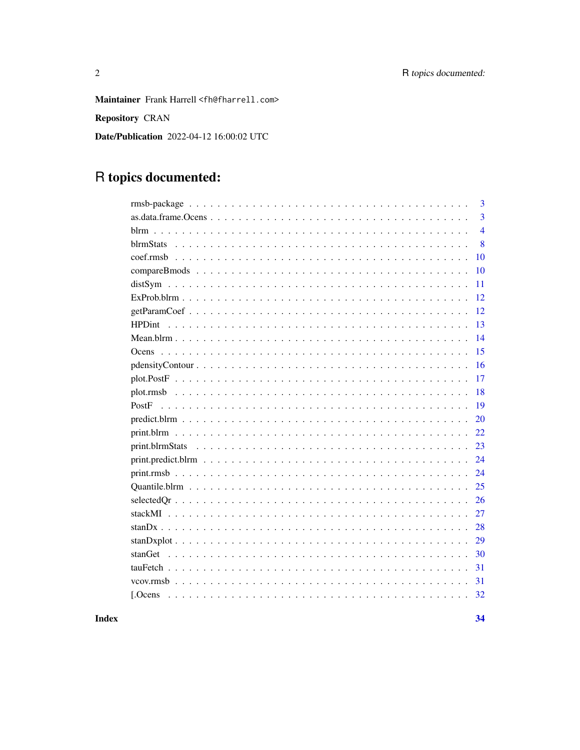Maintainer Frank Harrell <fh@fharrell.com>

Repository CRAN

Date/Publication 2022-04-12 16:00:02 UTC

# R topics documented:

| 3                   |
|---------------------|
| $\overline{3}$      |
| $\overline{4}$      |
| 8                   |
| 10                  |
| 10                  |
| 11                  |
| 12                  |
| 12                  |
| 13<br><b>HPDint</b> |
| 14                  |
| 15<br><b>Ocens</b>  |
| 16                  |
| 17                  |
| 18                  |
| 19<br>PostF         |
| 20                  |
| 22                  |
| 23                  |
| 24                  |
| 24                  |
| 25                  |
| 26                  |
| 27                  |
| 28                  |
| 29                  |
| 30<br>stanGet       |
| 31                  |
| 31                  |
| 32                  |
|                     |

**Index**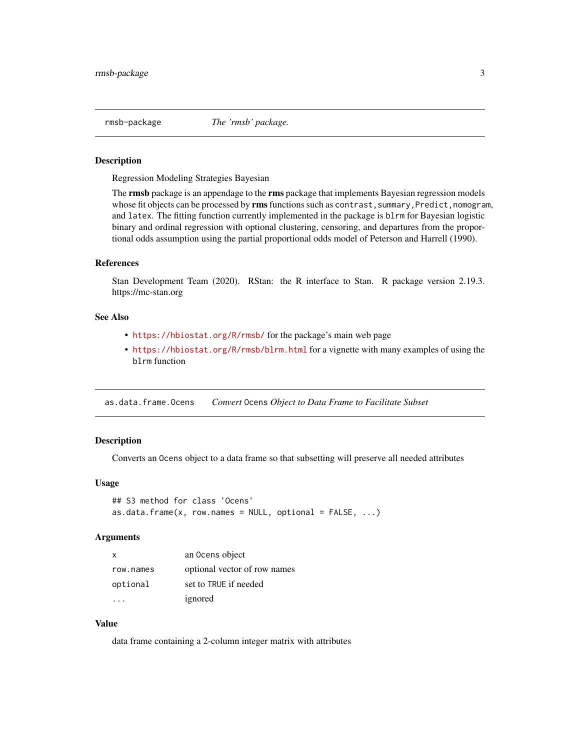<span id="page-2-0"></span>rmsb-package *The 'rmsb' package.*

# **Description**

Regression Modeling Strategies Bayesian

The **rmsb** package is an appendage to the **rms** package that implements Bayesian regression models whose fit objects can be processed by **rms** functions such as contrast, summary, Predict, nomogram, and latex. The fitting function currently implemented in the package is blrm for Bayesian logistic binary and ordinal regression with optional clustering, censoring, and departures from the proportional odds assumption using the partial proportional odds model of Peterson and Harrell (1990).

#### References

Stan Development Team (2020). RStan: the R interface to Stan. R package version 2.19.3. https://mc-stan.org

# See Also

- <https://hbiostat.org/R/rmsb/> for the package's main web page
- <https://hbiostat.org/R/rmsb/blrm.html> for a vignette with many examples of using the blrm function

as.data.frame.Ocens *Convert* Ocens *Object to Data Frame to Facilitate Subset*

# Description

Converts an Ocens object to a data frame so that subsetting will preserve all needed attributes

### Usage

```
## S3 method for class 'Ocens'
as.data.frame(x, row.names = NULL, optional = FALSE, ...)
```
#### Arguments

| x         | an Ocens object              |
|-----------|------------------------------|
| row.names | optional vector of row names |
| optional  | set to TRUE if needed        |
|           | ignored                      |

### Value

data frame containing a 2-column integer matrix with attributes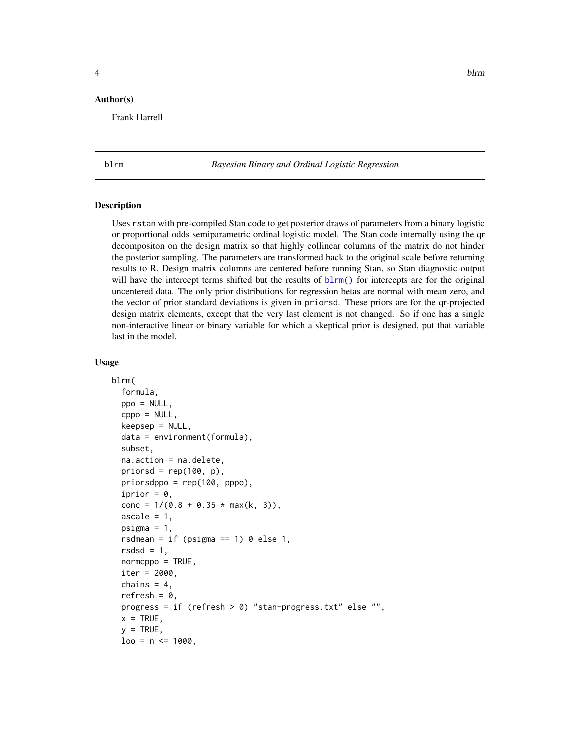#### <span id="page-3-0"></span>Author(s)

Frank Harrell

<span id="page-3-1"></span>

blrm *Bayesian Binary and Ordinal Logistic Regression*

#### Description

Uses rstan with pre-compiled Stan code to get posterior draws of parameters from a binary logistic or proportional odds semiparametric ordinal logistic model. The Stan code internally using the qr decompositon on the design matrix so that highly collinear columns of the matrix do not hinder the posterior sampling. The parameters are transformed back to the original scale before returning results to R. Design matrix columns are centered before running Stan, so Stan diagnostic output will have the intercept terms shifted but the results of  $blrm()$  for intercepts are for the original uncentered data. The only prior distributions for regression betas are normal with mean zero, and the vector of prior standard deviations is given in priorsd. These priors are for the qr-projected design matrix elements, except that the very last element is not changed. So if one has a single non-interactive linear or binary variable for which a skeptical prior is designed, put that variable last in the model.

#### Usage

```
blrm(
  formula,
  ppo = NULL,
  cppo = NULL,
  keepsep = NULL,
  data = environment(formula),
  subset,
  na.action = na.delete,
  priorsd = rep(100, p),
  priorsdppo = rep(100, pppo),
  iprior = 0,
  conc = 1/(0.8 + 0.35 * max(k, 3)),ascale = 1,
  psigma = 1,
  rsdmean = if (psigma == 1) 0 else 1,
  rsdsd = 1,
  normcppo = TRUE,iter = 2000,
  chains = 4,
  refresh = 0,
  progress = if (refresh > 0) "stan-progress.txt" else "",
  x = TRUE,y = TRUE,
  loo = n \le 1000,
```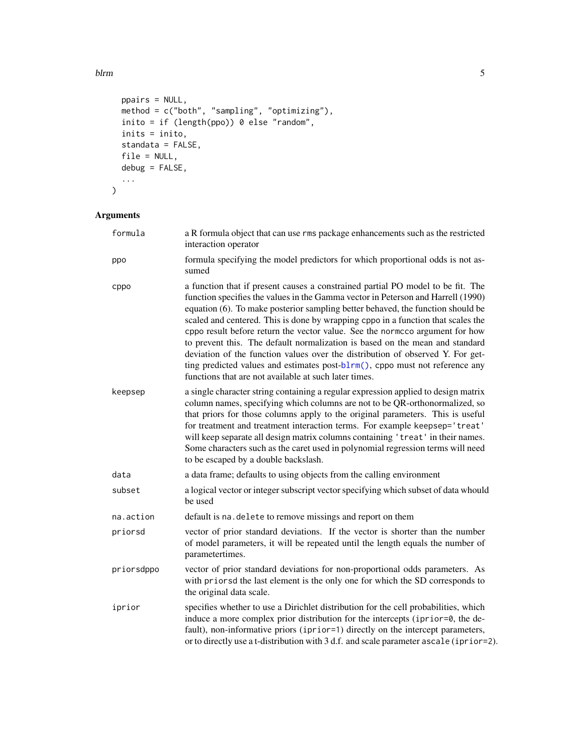blrm 5

```
ppairs = NULL,
 method = c("both", "sampling", "optimizing"),
 inito = if (length(ppo)) 0 else "random",
 inits = inito,
 standata = FALSE,
 file = NULL,
 debug = FALSE,
  ...
\mathcal{L}
```
# Arguments

| formula    | a R formula object that can use rms package enhancements such as the restricted<br>interaction operator                                                                                                                                                                                                                                                                                                                                                                                                                                                                                                                                                                                                                               |
|------------|---------------------------------------------------------------------------------------------------------------------------------------------------------------------------------------------------------------------------------------------------------------------------------------------------------------------------------------------------------------------------------------------------------------------------------------------------------------------------------------------------------------------------------------------------------------------------------------------------------------------------------------------------------------------------------------------------------------------------------------|
| ppo        | formula specifying the model predictors for which proportional odds is not as-<br>sumed                                                                                                                                                                                                                                                                                                                                                                                                                                                                                                                                                                                                                                               |
| cppo       | a function that if present causes a constrained partial PO model to be fit. The<br>function specifies the values in the Gamma vector in Peterson and Harrell (1990)<br>equation (6). To make posterior sampling better behaved, the function should be<br>scaled and centered. This is done by wrapping cppo in a function that scales the<br>cppo result before return the vector value. See the normcco argument for how<br>to prevent this. The default normalization is based on the mean and standard<br>deviation of the function values over the distribution of observed Y. For get-<br>ting predicted values and estimates post-blrm(), cppo must not reference any<br>functions that are not available at such later times. |
| keepsep    | a single character string containing a regular expression applied to design matrix<br>column names, specifying which columns are not to be QR-orthonormalized, so<br>that priors for those columns apply to the original parameters. This is useful<br>for treatment and treatment interaction terms. For example keepsep='treat'<br>will keep separate all design matrix columns containing 'treat' in their names.<br>Some characters such as the caret used in polynomial regression terms will need<br>to be escaped by a double backslash.                                                                                                                                                                                       |
| data       | a data frame; defaults to using objects from the calling environment                                                                                                                                                                                                                                                                                                                                                                                                                                                                                                                                                                                                                                                                  |
| subset     | a logical vector or integer subscript vector specifying which subset of data whould<br>be used                                                                                                                                                                                                                                                                                                                                                                                                                                                                                                                                                                                                                                        |
| na.action  | default is na. delete to remove missings and report on them                                                                                                                                                                                                                                                                                                                                                                                                                                                                                                                                                                                                                                                                           |
| priorsd    | vector of prior standard deviations. If the vector is shorter than the number<br>of model parameters, it will be repeated until the length equals the number of<br>parametertimes.                                                                                                                                                                                                                                                                                                                                                                                                                                                                                                                                                    |
| priorsdppo | vector of prior standard deviations for non-proportional odds parameters. As<br>with priorsd the last element is the only one for which the SD corresponds to<br>the original data scale.                                                                                                                                                                                                                                                                                                                                                                                                                                                                                                                                             |
| iprior     | specifies whether to use a Dirichlet distribution for the cell probabilities, which<br>induce a more complex prior distribution for the intercepts (iprior=0, the de-<br>fault), non-informative priors (iprior=1) directly on the intercept parameters,<br>or to directly use a t-distribution with 3 d.f. and scale parameter ascale (iprior=2).                                                                                                                                                                                                                                                                                                                                                                                    |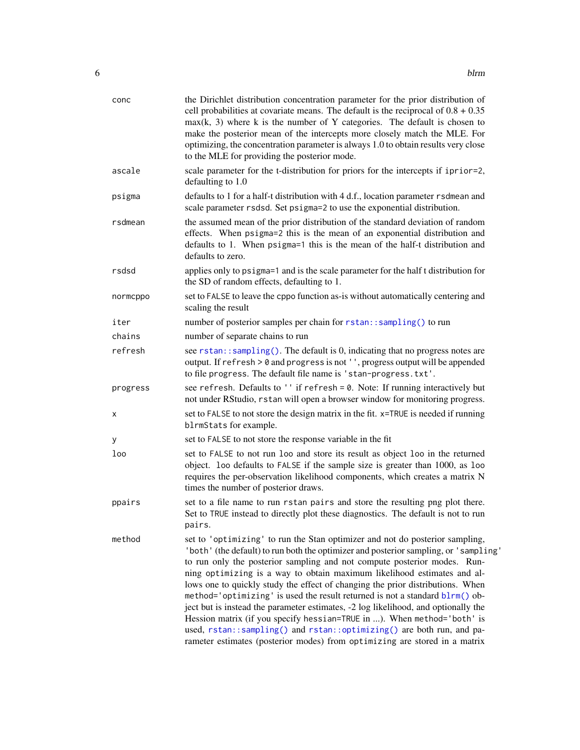<span id="page-5-0"></span>

| conc     | the Dirichlet distribution concentration parameter for the prior distribution of<br>cell probabilities at covariate means. The default is the reciprocal of $0.8 + 0.35$<br>$max(k, 3)$ where k is the number of Y categories. The default is chosen to<br>make the posterior mean of the intercepts more closely match the MLE. For<br>optimizing, the concentration parameter is always 1.0 to obtain results very close<br>to the MLE for providing the posterior mode.                                                                                                                                                                                                                                                                                                                                            |
|----------|-----------------------------------------------------------------------------------------------------------------------------------------------------------------------------------------------------------------------------------------------------------------------------------------------------------------------------------------------------------------------------------------------------------------------------------------------------------------------------------------------------------------------------------------------------------------------------------------------------------------------------------------------------------------------------------------------------------------------------------------------------------------------------------------------------------------------|
| ascale   | scale parameter for the t-distribution for priors for the intercepts if iprior=2,<br>defaulting to 1.0                                                                                                                                                                                                                                                                                                                                                                                                                                                                                                                                                                                                                                                                                                                |
| psigma   | defaults to 1 for a half-t distribution with 4 d.f., location parameter rsdmean and<br>scale parameter rsdsd. Set psigma=2 to use the exponential distribution.                                                                                                                                                                                                                                                                                                                                                                                                                                                                                                                                                                                                                                                       |
| rsdmean  | the assumed mean of the prior distribution of the standard deviation of random<br>effects. When psigma=2 this is the mean of an exponential distribution and<br>defaults to 1. When psigma=1 this is the mean of the half-t distribution and<br>defaults to zero.                                                                                                                                                                                                                                                                                                                                                                                                                                                                                                                                                     |
| rsdsd    | applies only to psigma=1 and is the scale parameter for the half t distribution for<br>the SD of random effects, defaulting to 1.                                                                                                                                                                                                                                                                                                                                                                                                                                                                                                                                                                                                                                                                                     |
| normcppo | set to FALSE to leave the cppo function as-is without automatically centering and<br>scaling the result                                                                                                                                                                                                                                                                                                                                                                                                                                                                                                                                                                                                                                                                                                               |
| iter     | number of posterior samples per chain for rstan::sampling() to run                                                                                                                                                                                                                                                                                                                                                                                                                                                                                                                                                                                                                                                                                                                                                    |
| chains   | number of separate chains to run                                                                                                                                                                                                                                                                                                                                                                                                                                                                                                                                                                                                                                                                                                                                                                                      |
| refresh  | see rstan::sampling(). The default is 0, indicating that no progress notes are<br>output. If refresh > 0 and progress is not '', progress output will be appended<br>to file progress. The default file name is 'stan-progress.txt'.                                                                                                                                                                                                                                                                                                                                                                                                                                                                                                                                                                                  |
| progress | see refresh. Defaults to '' if refresh = 0. Note: If running interactively but<br>not under RStudio, rstan will open a browser window for monitoring progress.                                                                                                                                                                                                                                                                                                                                                                                                                                                                                                                                                                                                                                                        |
| х        | set to FALSE to not store the design matrix in the fit. x=TRUE is needed if running<br>blrmStats for example.                                                                                                                                                                                                                                                                                                                                                                                                                                                                                                                                                                                                                                                                                                         |
| у        | set to FALSE to not store the response variable in the fit                                                                                                                                                                                                                                                                                                                                                                                                                                                                                                                                                                                                                                                                                                                                                            |
| loo      | set to FALSE to not run loo and store its result as object loo in the returned<br>object. loo defaults to FALSE if the sample size is greater than 1000, as loo<br>requires the per-observation likelihood components, which creates a matrix N<br>times the number of posterior draws.                                                                                                                                                                                                                                                                                                                                                                                                                                                                                                                               |
| ppairs   | set to a file name to run rstan pairs and store the resulting png plot there.<br>Set to TRUE instead to directly plot these diagnostics. The default is not to run<br>pairs.                                                                                                                                                                                                                                                                                                                                                                                                                                                                                                                                                                                                                                          |
| method   | set to 'optimizing' to run the Stan optimizer and not do posterior sampling,<br>'both' (the default) to run both the optimizer and posterior sampling, or 'sampling'<br>to run only the posterior sampling and not compute posterior modes. Run-<br>ning optimizing is a way to obtain maximum likelihood estimates and al-<br>lows one to quickly study the effect of changing the prior distributions. When<br>method='optimizing' is used the result returned is not a standard blrm() ob-<br>ject but is instead the parameter estimates, -2 log likelihood, and optionally the<br>Hession matrix (if you specify hessian=TRUE in ). When method='both' is<br>used, rstan::sampling() and rstan::optimizing() are both run, and pa-<br>rameter estimates (posterior modes) from optimizing are stored in a matrix |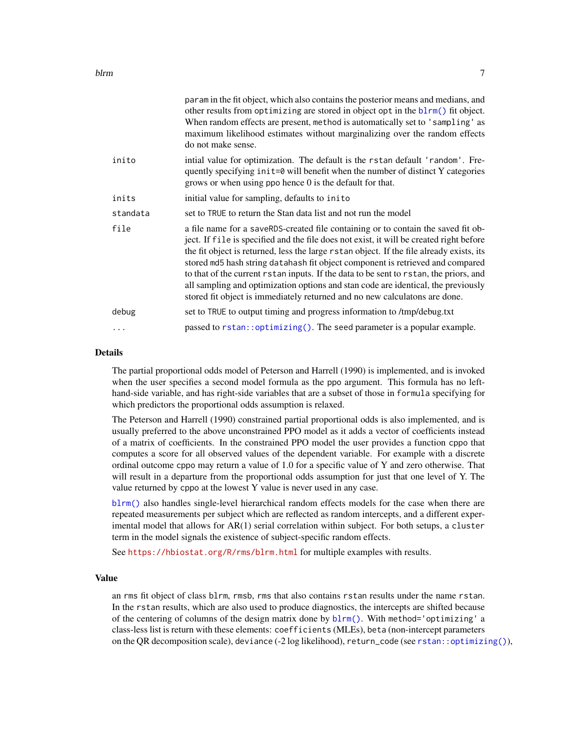<span id="page-6-0"></span>

|          | param in the fit object, which also contains the posterior means and medians, and<br>other results from optimizing are stored in object opt in the blrm() fit object.<br>When random effects are present, method is automatically set to 'sampling' as<br>maximum likelihood estimates without marginalizing over the random effects<br>do not make sense.                                                                                                                                                                                                                                                             |
|----------|------------------------------------------------------------------------------------------------------------------------------------------------------------------------------------------------------------------------------------------------------------------------------------------------------------------------------------------------------------------------------------------------------------------------------------------------------------------------------------------------------------------------------------------------------------------------------------------------------------------------|
| inito    | intial value for optimization. The default is the rstan default 'random'. Fre-<br>quently specifying in it=0 will benefit when the number of distinct Y categories<br>grows or when using ppo hence 0 is the default for that.                                                                                                                                                                                                                                                                                                                                                                                         |
| inits    | initial value for sampling, defaults to inito                                                                                                                                                                                                                                                                                                                                                                                                                                                                                                                                                                          |
| standata | set to TRUE to return the Stan data list and not run the model                                                                                                                                                                                                                                                                                                                                                                                                                                                                                                                                                         |
| file     | a file name for a saveRDS-created file containing or to contain the saved fit ob-<br>ject. If file is specified and the file does not exist, it will be created right before<br>the fit object is returned, less the large rstan object. If the file already exists, its<br>stored md5 hash string datahash fit object component is retrieved and compared<br>to that of the current rstan inputs. If the data to be sent to rstan, the priors, and<br>all sampling and optimization options and stan code are identical, the previously<br>stored fit object is immediately returned and no new calculatons are done. |
| debug    | set to TRUE to output timing and progress information to /tmp/debug.txt                                                                                                                                                                                                                                                                                                                                                                                                                                                                                                                                                |
| $\ddots$ | passed to $rstan$ : $optimizing()$ . The seed parameter is a popular example.                                                                                                                                                                                                                                                                                                                                                                                                                                                                                                                                          |
|          |                                                                                                                                                                                                                                                                                                                                                                                                                                                                                                                                                                                                                        |

#### Details

The partial proportional odds model of Peterson and Harrell (1990) is implemented, and is invoked when the user specifies a second model formula as the ppo argument. This formula has no lefthand-side variable, and has right-side variables that are a subset of those in formula specifying for which predictors the proportional odds assumption is relaxed.

The Peterson and Harrell (1990) constrained partial proportional odds is also implemented, and is usually preferred to the above unconstrained PPO model as it adds a vector of coefficients instead of a matrix of coefficients. In the constrained PPO model the user provides a function cppo that computes a score for all observed values of the dependent variable. For example with a discrete ordinal outcome cppo may return a value of 1.0 for a specific value of Y and zero otherwise. That will result in a departure from the proportional odds assumption for just that one level of Y. The value returned by cppo at the lowest Y value is never used in any case.

[blrm\(\)](#page-3-1) also handles single-level hierarchical random effects models for the case when there are repeated measurements per subject which are reflected as random intercepts, and a different experimental model that allows for AR(1) serial correlation within subject. For both setups, a cluster term in the model signals the existence of subject-specific random effects.

See <https://hbiostat.org/R/rms/blrm.html> for multiple examples with results.

### Value

an rms fit object of class blrm, rmsb, rms that also contains rstan results under the name rstan. In the rstan results, which are also used to produce diagnostics, the intercepts are shifted because of the centering of columns of the design matrix done by [blrm\(\)](#page-3-1). With method='optimizing' a class-less list is return with these elements: coefficients (MLEs), beta (non-intercept parameters on the QR decomposition scale), deviance (-2 log likelihood), return\_code (see [rstan::optimizing\(\)](#page-0-0)),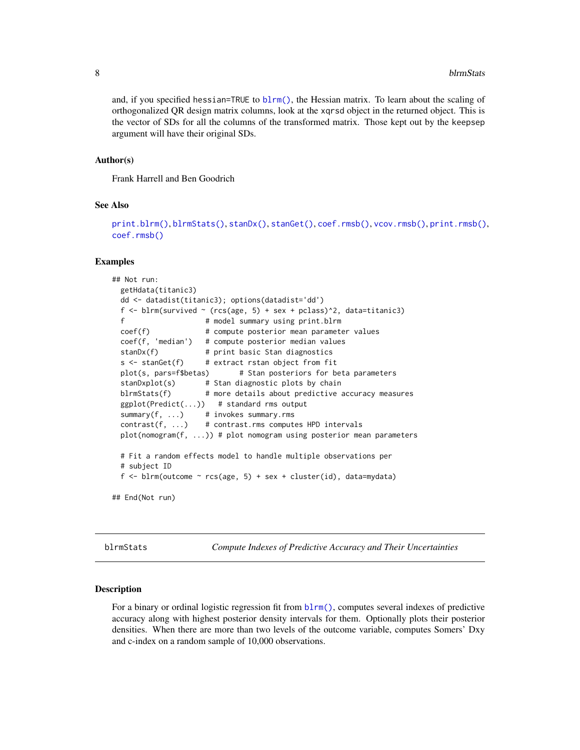and, if you specified hessian=TRUE to  $blrm()$ , the Hessian matrix. To learn about the scaling of orthogonalized QR design matrix columns, look at the xqrsd object in the returned object. This is the vector of SDs for all the columns of the transformed matrix. Those kept out by the keepsep argument will have their original SDs.

#### Author(s)

Frank Harrell and Ben Goodrich

#### See Also

```
print.blrm()blrmStats()stanDx()stanGet()coef.rmsb()vcov.rmsb()print.rmsb(),
coef.rmsb()
```
#### Examples

```
## Not run:
 getHdata(titanic3)
 dd <- datadist(titanic3); options(datadist='dd')
 f \le blrm(survived \sim (rcs(age, 5) + sex + pclass)\hat{a}, data=titanic3)
 f # model summary using print.blrm
 coef(f) # compute posterior mean parameter values
 coef(f, 'median') # compute posterior median values
 stanDx(f) # print basic Stan diagnostics
 s \leq - \text{stanGet}(f) # extract rstan object from fit
 plot(s, pars=f$betas) # Stan posteriors for beta parameters
 stanDxplot(s) # Stan diagnostic plots by chain
 blrmStats(f) # more details about predictive accuracy measures
 ggplot(Predict(...)) # standard rms output
 summary(f, ...) # invokes summary.rms
 contrast(f, ...) # contrast.rms computes HPD intervals
 plot(nomogram(f, ...)) # plot nomogram using posterior mean parameters
 # Fit a random effects model to handle multiple observations per
 # subject ID
 f <- blrm(outcome \sim rcs(age, 5) + sex + cluster(id), data=mydata)
## End(Not run)
```
<span id="page-7-1"></span>blrmStats *Compute Indexes of Predictive Accuracy and Their Uncertainties*

#### Description

For a binary or ordinal logistic regression fit from  $blrm()$ , computes several indexes of predictive accuracy along with highest posterior density intervals for them. Optionally plots their posterior densities. When there are more than two levels of the outcome variable, computes Somers' Dxy and c-index on a random sample of 10,000 observations.

<span id="page-7-0"></span>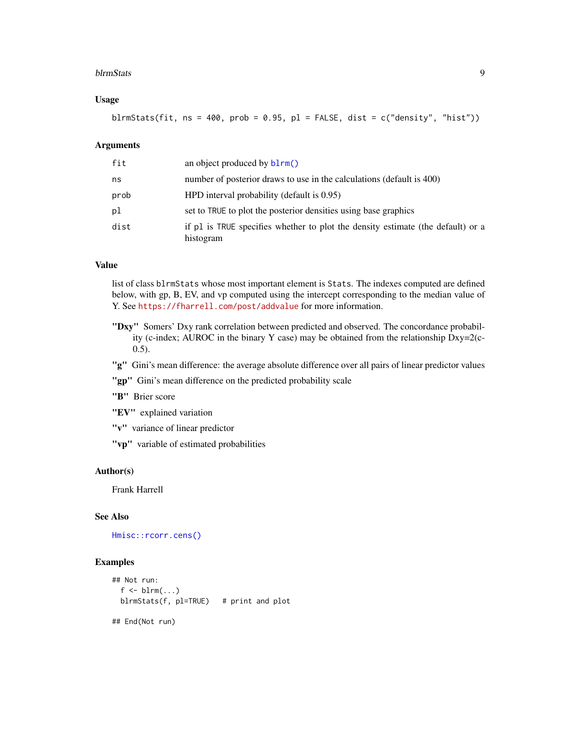#### <span id="page-8-0"></span>blrmStats 9

# Usage

blrmStats(fit,  $ns = 400$ ,  $prob = 0.95$ ,  $pl = FALSE$ , dist = c("density", "hist"))

# Arguments

| fit  | an object produced by $blrm()$                                                               |
|------|----------------------------------------------------------------------------------------------|
| ns   | number of posterior draws to use in the calculations (default is 400)                        |
| prob | $HPD$ interval probability (default is 0.95)                                                 |
| pl   | set to TRUE to plot the posterior densities using base graphics                              |
| dist | if pl is TRUE specifies whether to plot the density estimate (the default) or a<br>histogram |

#### Value

list of class blrmStats whose most important element is Stats. The indexes computed are defined below, with gp, B, EV, and vp computed using the intercept corresponding to the median value of Y. See <https://fharrell.com/post/addvalue> for more information.

- "Dxy" Somers' Dxy rank correlation between predicted and observed. The concordance probability (c-index; AUROC in the binary Y case) may be obtained from the relationship Dxy=2(c-0.5).
- "g" Gini's mean difference: the average absolute difference over all pairs of linear predictor values

"gp" Gini's mean difference on the predicted probability scale

"B" Brier score

"EV" explained variation

"v" variance of linear predictor

"vp" variable of estimated probabilities

# Author(s)

Frank Harrell

#### See Also

[Hmisc::rcorr.cens\(\)](#page-0-0)

# Examples

```
## Not run:
  f \leftarrow \text{blrm}(\dots)blrmStats(f, pl=TRUE) # print and plot
## End(Not run)
```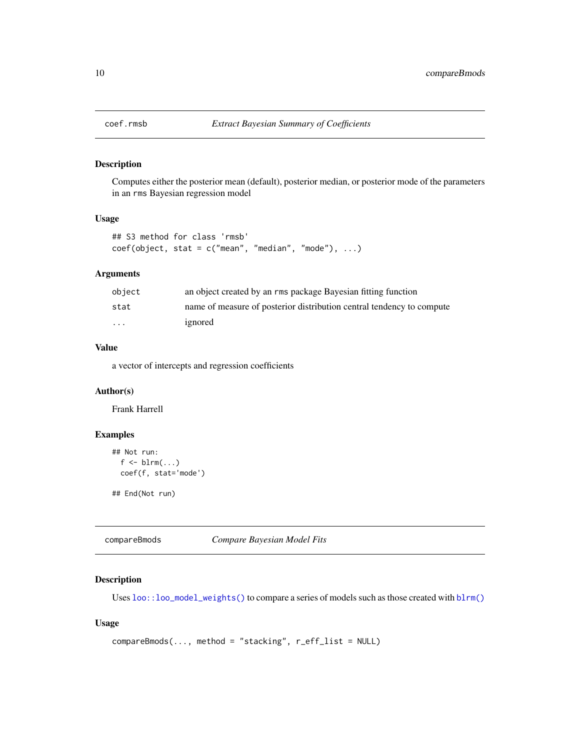<span id="page-9-1"></span><span id="page-9-0"></span>

Computes either the posterior mean (default), posterior median, or posterior mode of the parameters in an rms Bayesian regression model

# Usage

```
## S3 method for class 'rmsb'
coef(object, stat = c("mean", "median", "mode"), ...)
```
# Arguments

| obiect                  | an object created by an rms package Bayesian fitting function         |
|-------------------------|-----------------------------------------------------------------------|
| stat                    | name of measure of posterior distribution central tendency to compute |
| $\cdot$ $\cdot$ $\cdot$ | ignored                                                               |

# Value

a vector of intercepts and regression coefficients

### Author(s)

Frank Harrell

# Examples

```
## Not run:
  f \leftarrow \text{blrm}(\dots)coef(f, stat='mode')
```
## End(Not run)

compareBmods *Compare Bayesian Model Fits*

# Description

Uses  $loo::loo\_model\_weights()$  to compare a series of models such as those created with  $blrm()$ 

# Usage

```
compareBmods(..., method = "stacking", r_eff_list = NULL)
```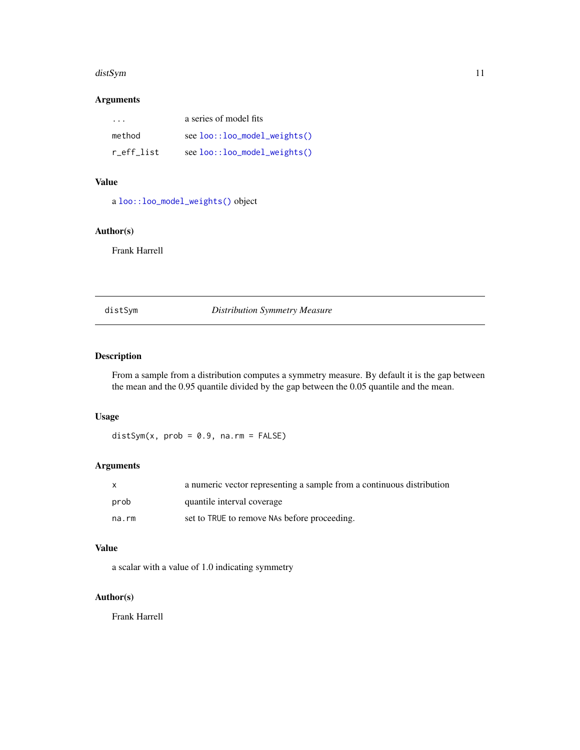#### <span id="page-10-0"></span>distSym 11

# Arguments

| $\cdot$ $\cdot$ $\cdot$ | a series of model fits                |
|-------------------------|---------------------------------------|
| method                  | $see$ $loo::loo_{model_{weighted}}()$ |
| r eff list              | see loo::loo_model_weights()          |

# Value

a [loo::loo\\_model\\_weights\(\)](#page-0-0) object

#### Author(s)

Frank Harrell

# distSym *Distribution Symmetry Measure*

# Description

From a sample from a distribution computes a symmetry measure. By default it is the gap between the mean and the 0.95 quantile divided by the gap between the 0.05 quantile and the mean.

# Usage

 $distSym(x, prob = 0.9, na.rm = FALSE)$ 

# Arguments

|       | a numeric vector representing a sample from a continuous distribution |
|-------|-----------------------------------------------------------------------|
| prob  | quantile interval coverage                                            |
| na.rm | set to TRUE to remove NAs before proceeding.                          |

# Value

a scalar with a value of 1.0 indicating symmetry

# Author(s)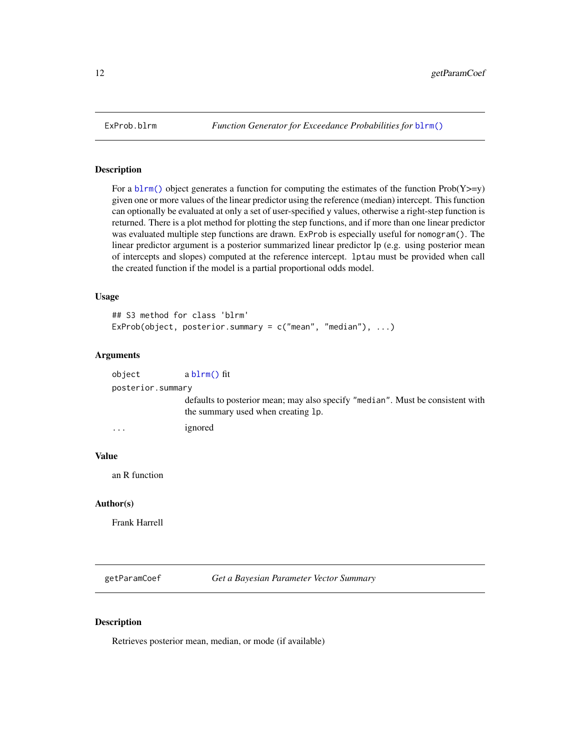For a [blrm\(\)](#page-3-1) object generates a function for computing the estimates of the function  $Prob(Y>=y)$ given one or more values of the linear predictor using the reference (median) intercept. This function can optionally be evaluated at only a set of user-specified y values, otherwise a right-step function is returned. There is a plot method for plotting the step functions, and if more than one linear predictor was evaluated multiple step functions are drawn. ExProb is especially useful for nomogram(). The linear predictor argument is a posterior summarized linear predictor lp (e.g. using posterior mean of intercepts and slopes) computed at the reference intercept. lptau must be provided when call the created function if the model is a partial proportional odds model.

#### Usage

```
## S3 method for class 'blrm'
ExProb(object, posterior.summary = c("mean", "median"), ...)
```
#### Arguments

| object            | $ablm()$ fit          |
|-------------------|-----------------------|
| posterior.summary |                       |
|                   | defaults to posterior |

mean; may also specify "median". Must be consistent with the summary used when creating lp.

```
... ignored
```
#### Value

an R function

#### Author(s)

Frank Harrell

getParamCoef *Get a Bayesian Parameter Vector Summary*

#### Description

Retrieves posterior mean, median, or mode (if available)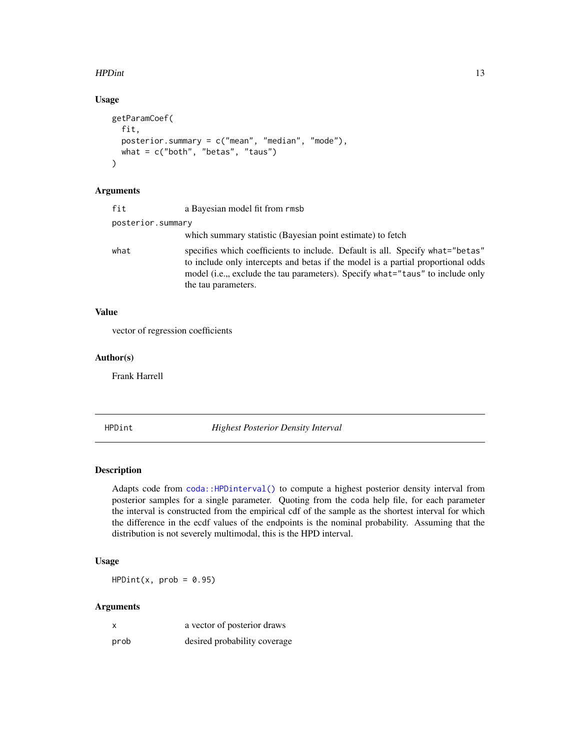#### <span id="page-12-0"></span>HPDint 13

# Usage

```
getParamCoef(
  fit,
 posterior.summary = c("mean", "median", "mode"),
 what = c("both", "beta", "taus"))
```
# Arguments

| fit               | a Bayesian model fit from rmsb                                                                                                                                                                                                                                             |
|-------------------|----------------------------------------------------------------------------------------------------------------------------------------------------------------------------------------------------------------------------------------------------------------------------|
| posterior.summary |                                                                                                                                                                                                                                                                            |
|                   | which summary statistic (Bayesian point estimate) to fetch                                                                                                                                                                                                                 |
| what              | specifies which coefficients to include. Default is all. Specify what="betas"<br>to include only intercepts and betas if the model is a partial proportional odds<br>model (i.e.,, exclude the tau parameters). Specify what="taus" to include only<br>the tau parameters. |

# Value

vector of regression coefficients

#### Author(s)

Frank Harrell

HPDint *Highest Posterior Density Interval*

#### Description

Adapts code from [coda::HPDinterval\(\)](#page-0-0) to compute a highest posterior density interval from posterior samples for a single parameter. Quoting from the coda help file, for each parameter the interval is constructed from the empirical cdf of the sample as the shortest interval for which the difference in the ecdf values of the endpoints is the nominal probability. Assuming that the distribution is not severely multimodal, this is the HPD interval.

# Usage

 $HPDint(x, prob = 0.95)$ 

#### Arguments

| x    | a vector of posterior draws  |
|------|------------------------------|
| prob | desired probability coverage |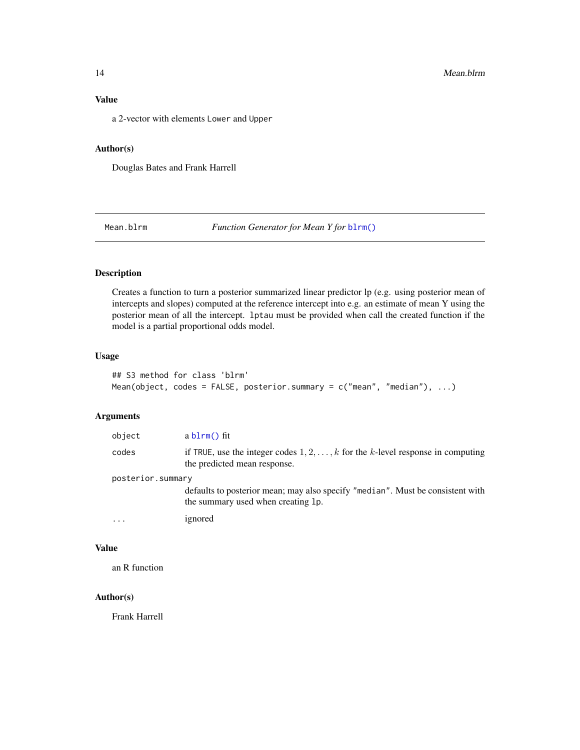# <span id="page-13-0"></span>Value

a 2-vector with elements Lower and Upper

# Author(s)

Douglas Bates and Frank Harrell

Mean.blrm *Function Generator for Mean Y for* [blrm\(\)](#page-3-1)

# Description

Creates a function to turn a posterior summarized linear predictor lp (e.g. using posterior mean of intercepts and slopes) computed at the reference intercept into e.g. an estimate of mean Y using the posterior mean of all the intercept. lptau must be provided when call the created function if the model is a partial proportional odds model.

# Usage

```
## S3 method for class 'blrm'
Mean(object, codes = FALSE, posterior.summary = c("mean", "median"), ...)
```
# Arguments

| object            | $ablm()$ fit                                                                                                           |
|-------------------|------------------------------------------------------------------------------------------------------------------------|
| codes             | if TRUE, use the integer codes $1, 2, \ldots, k$ for the k-level response in computing<br>the predicted mean response. |
| posterior.summary |                                                                                                                        |
|                   | defaults to posterior mean; may also specify "median". Must be consistent with<br>the summary used when creating 1p.   |
| $\ddotsc$         | ignored                                                                                                                |
|                   |                                                                                                                        |

# Value

an R function

#### Author(s)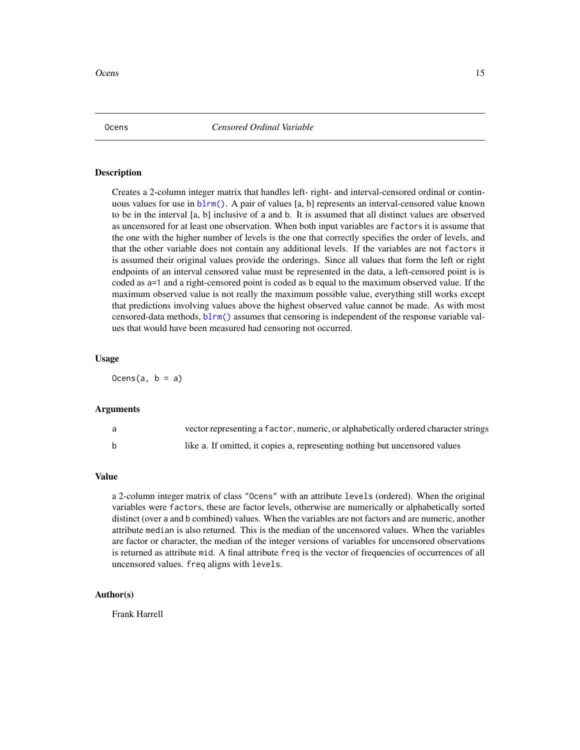<span id="page-14-0"></span>Creates a 2-column integer matrix that handles left- right- and interval-censored ordinal or continuous values for use in [blrm\(\)](#page-3-1). A pair of values [a, b] represents an interval-censored value known to be in the interval [a, b] inclusive of a and b. It is assumed that all distinct values are observed as uncensored for at least one observation. When both input variables are factors it is assume that the one with the higher number of levels is the one that correctly specifies the order of levels, and that the other variable does not contain any additional levels. If the variables are not factors it is assumed their original values provide the orderings. Since all values that form the left or right endpoints of an interval censored value must be represented in the data, a left-censored point is is coded as a=1 and a right-censored point is coded as b equal to the maximum observed value. If the maximum observed value is not really the maximum possible value, everything still works except that predictions involving values above the highest observed value cannot be made. As with most censored-data methods, [blrm\(\)](#page-3-1) assumes that censoring is independent of the response variable values that would have been measured had censoring not occurred.

#### Usage

 $0cens(a, b = a)$ 

#### Arguments

| vector representing a factor, numeric, or alphabetically ordered character strings |
|------------------------------------------------------------------------------------|
| like a. If omitted, it copies a, representing nothing but uncensored values        |

#### Value

a 2-column integer matrix of class "Ocens" with an attribute levels (ordered). When the original variables were factors, these are factor levels, otherwise are numerically or alphabetically sorted distinct (over a and b combined) values. When the variables are not factors and are numeric, another attribute median is also returned. This is the median of the uncensored values. When the variables are factor or character, the median of the integer versions of variables for uncensored observations is returned as attribute mid. A final attribute freq is the vector of frequencies of occurrences of all uncensored values. freq aligns with levels.

#### Author(s)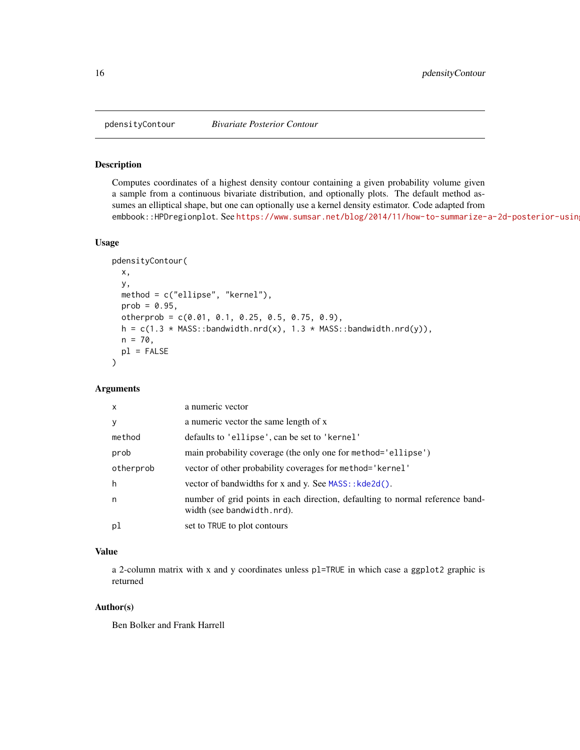<span id="page-15-0"></span>

Computes coordinates of a highest density contour containing a given probability volume given a sample from a continuous bivariate distribution, and optionally plots. The default method assumes an elliptical shape, but one can optionally use a kernel density estimator. Code adapted from embbook::HPDregionplot. See https://www.sumsar.net/blog/2014/11/how-to-summarize-a-2d-posterior-usin

#### Usage

```
pdensityContour(
  x,
  y,
  method = c("ellipse", "kernel"),
 prob = 0.95,
  otherprob = c(0.01, 0.1, 0.25, 0.5, 0.75, 0.9),
  h = c(1.3 * MASS::bandwidth.nrd(x), 1.3 * MASS::bandwidth.nrd(y)),n = 70,
 p1 = FALSE\mathcal{L}
```
# Arguments

| $\mathsf{x}$ | a numeric vector                                                                                            |
|--------------|-------------------------------------------------------------------------------------------------------------|
| y            | a numeric vector the same length of x                                                                       |
| method       | defaults to 'ellipse', can be set to 'kernel'                                                               |
| prob         | main probability coverage (the only one for method='ellipse')                                               |
| otherprob    | vector of other probability coverages for method='kernel'                                                   |
| h            | vector of bandwidths for x and y. See MASS:: kde2d().                                                       |
| n            | number of grid points in each direction, defaulting to normal reference band-<br>width (see bandwidth.nrd). |
| pl           | set to TRUE to plot contours                                                                                |

# Value

a 2-column matrix with x and y coordinates unless pl=TRUE in which case a ggplot2 graphic is returned

#### Author(s)

Ben Bolker and Frank Harrell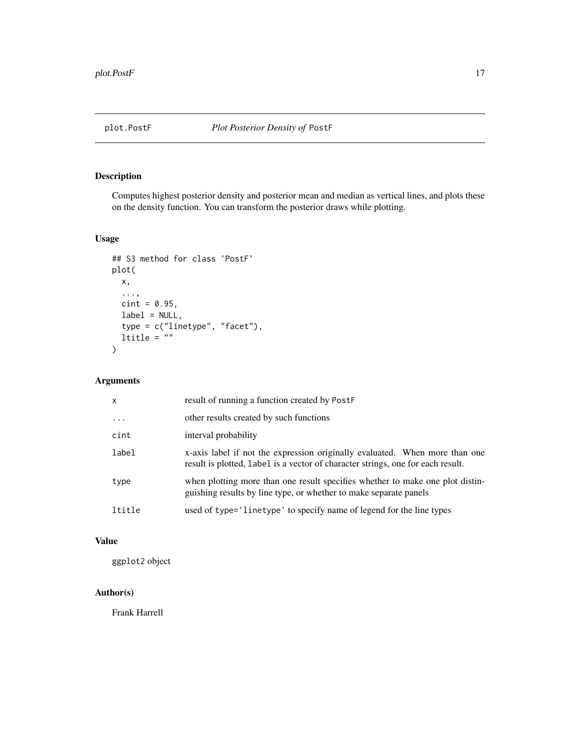<span id="page-16-0"></span>

Computes highest posterior density and posterior mean and median as vertical lines, and plots these on the density function. You can transform the posterior draws while plotting.

# Usage

```
## S3 method for class 'PostF'
plot(
  x,
  ...,
  \text{cint} = 0.95,label = NULL,
  type = c("linetype", "facet"),
  ltitle = ""
\mathcal{L}
```
# Arguments

| x        | result of running a function created by PostF                                                                                                                  |
|----------|----------------------------------------------------------------------------------------------------------------------------------------------------------------|
| $\cdots$ | other results created by such functions                                                                                                                        |
| cint     | interval probability                                                                                                                                           |
| label    | x-axis label if not the expression originally evaluated. When more than one<br>result is plotted, label is a vector of character strings, one for each result. |
| type     | when plotting more than one result specifies whether to make one plot distin-<br>guishing results by line type, or whether to make separate panels             |
| ltitle   | used of type='linetype' to specify name of legend for the line types                                                                                           |

# Value

ggplot2 object

# Author(s)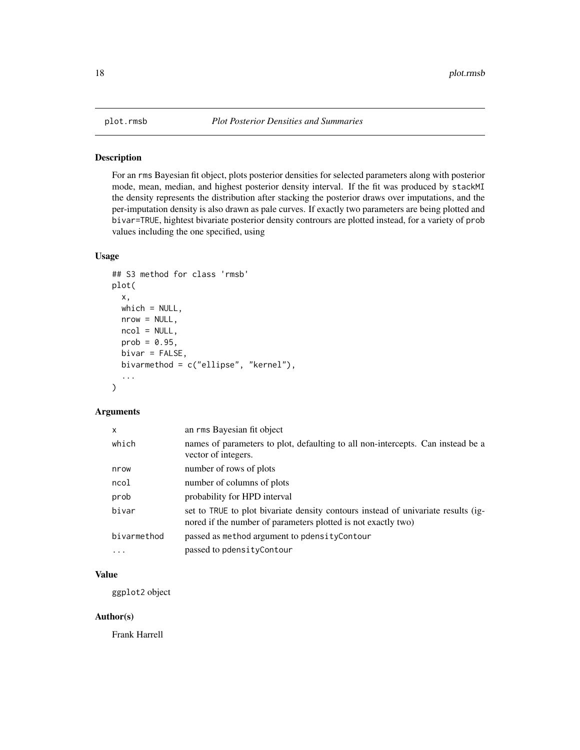<span id="page-17-0"></span>

For an rms Bayesian fit object, plots posterior densities for selected parameters along with posterior mode, mean, median, and highest posterior density interval. If the fit was produced by stackMI the density represents the distribution after stacking the posterior draws over imputations, and the per-imputation density is also drawn as pale curves. If exactly two parameters are being plotted and bivar=TRUE, hightest bivariate posterior density contrours are plotted instead, for a variety of prob values including the one specified, using

# Usage

```
## S3 method for class 'rmsb'
plot(
  x,
 which = NULL,nrow = NULL,
 ncol = NULL,
 prob = 0.95,
 bivar = FALSE,
 bivarmethod = c("ellipse", "kernel"),
  ...
)
```
# Arguments

| $\mathsf{x}$ | an rms Bayesian fit object                                                                                                                         |
|--------------|----------------------------------------------------------------------------------------------------------------------------------------------------|
| which        | names of parameters to plot, defaulting to all non-intercepts. Can instead be a<br>vector of integers.                                             |
| nrow         | number of rows of plots                                                                                                                            |
| ncol         | number of columns of plots                                                                                                                         |
| prob         | probability for HPD interval                                                                                                                       |
| bivar        | set to TRUE to plot bivariate density contours instead of univariate results (ig-<br>nored if the number of parameters plotted is not exactly two) |
| bivarmethod  | passed as method argument to pdensity Contour                                                                                                      |
| $\ddotsc$    | passed to pdensityContour                                                                                                                          |

#### Value

ggplot2 object

#### Author(s)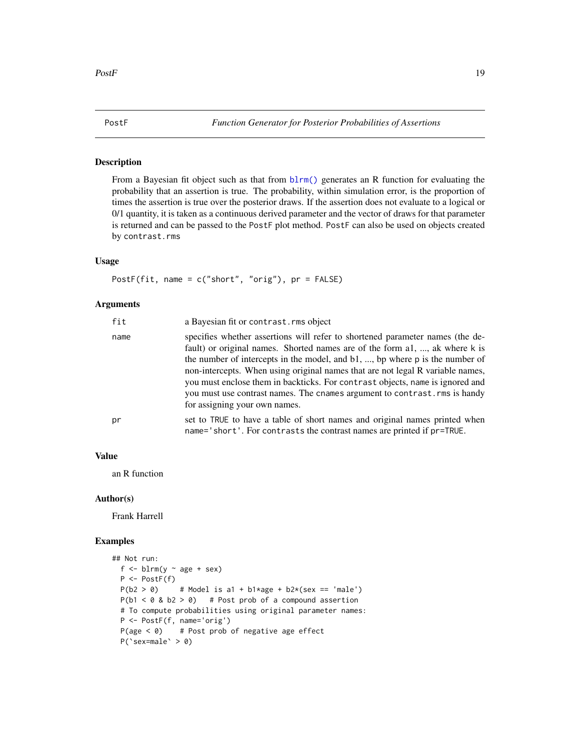<span id="page-18-0"></span>From a Bayesian fit object such as that from  $blrm()$  generates an R function for evaluating the probability that an assertion is true. The probability, within simulation error, is the proportion of times the assertion is true over the posterior draws. If the assertion does not evaluate to a logical or 0/1 quantity, it is taken as a continuous derived parameter and the vector of draws for that parameter is returned and can be passed to the PostF plot method. PostF can also be used on objects created by contrast.rms

#### Usage

PostF(fit, name = c("short", "orig"), pr = FALSE)

#### Arguments

| fit  | a Bayesian fit or contrast. rms object                                                                                                                                                                                                                                                                                                                                                                                                                                                                                                |
|------|---------------------------------------------------------------------------------------------------------------------------------------------------------------------------------------------------------------------------------------------------------------------------------------------------------------------------------------------------------------------------------------------------------------------------------------------------------------------------------------------------------------------------------------|
| name | specifies whether assertions will refer to shortened parameter names (the de-<br>fault) or original names. Shorted names are of the form a1, , ak where k is<br>the number of intercepts in the model, and $b1, \ldots, b$ where p is the number of<br>non-intercepts. When using original names that are not legal R variable names,<br>you must enclose them in backticks. For contrast objects, name is ignored and<br>you must use contrast names. The cnames argument to contrast. rms is handy<br>for assigning your own names. |
| рr   | set to TRUE to have a table of short names and original names printed when<br>name='short'. For contrasts the contrast names are printed if pr=TRUE.                                                                                                                                                                                                                                                                                                                                                                                  |

# Value

an R function

#### Author(s)

Frank Harrell

#### Examples

```
## Not run:
 f \le blrm(y \sim age + sex)
 P <- PostF(f)
 P(b2 > 0) # Model is a1 + b1*age + b2*(sex == 'male')
 P(b1 < 0 \& b2 > 0) # Post prob of a compound assertion
 # To compute probabilities using original parameter names:
 P <- PostF(f, name='orig')
 P(age < 0) # Post prob of negative age effect
 P('sex=male' > 0)
```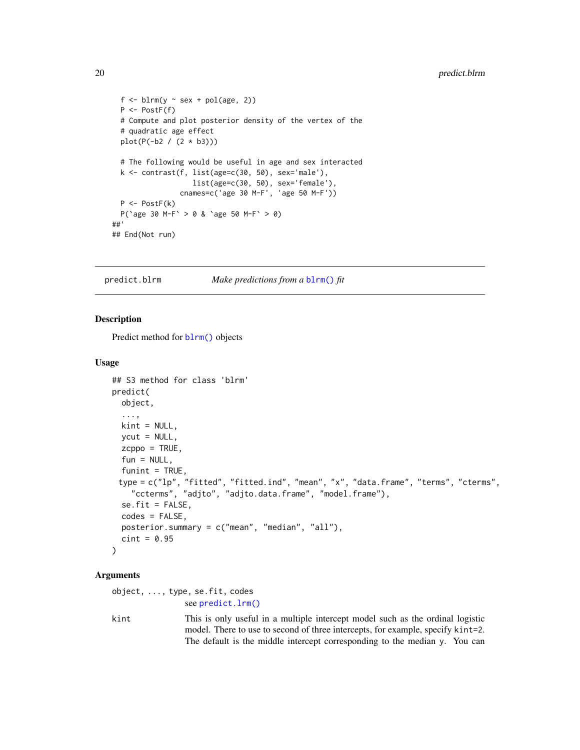```
f \leftarrow \text{blrm}(y \sim \text{sex} + \text{pol}(\text{age}, 2))P <- PostF(f)
  # Compute and plot posterior density of the vertex of the
  # quadratic age effect
  plot(P(-b2 / (2 * b3)))
  # The following would be useful in age and sex interacted
  k <- contrast(f, list(age=c(30, 50), sex='male'),
                    list(age=c(30, 50), sex='female'),
                 cnames=c('age 30 M-F', 'age 50 M-F'))
  P <- PostF(k)
  P(`age 30 M-F` > 0 & `age 50 M-F` > 0)
##'
## End(Not run)
```
predict.blrm *Make predictions from a* [blrm\(\)](#page-3-1) *fit*

#### Description

Predict method for [blrm\(\)](#page-3-1) objects

#### Usage

```
## S3 method for class 'blrm'
predict(
 object,
  ...,
 kint = NULL,
 ycut = NULL,
 zcppo = TRUE,
  fun = NULL,funint = TRUE,type = c("lp", "fitted", "fitted.ind", "mean", "x", "data.frame", "terms", "cterms",
    "ccterms", "adjto", "adjto.data.frame", "model.frame"),
  se.fit = FALSE,
  codes = FALSE,
 posterior.summary = c("mean", "median", "all"),
  \text{cint} = 0.95)
```
#### Arguments

|      | $object, \ldots, type, se.fit, codes$                                           |
|------|---------------------------------------------------------------------------------|
|      | see predict.lrm()                                                               |
| kint | This is only useful in a multiple intercept model such as the ordinal logistic  |
|      | model. There to use to second of three intercepts, for example, specify kint=2. |
|      | The default is the middle intercept corresponding to the median y. You can      |

<span id="page-19-0"></span>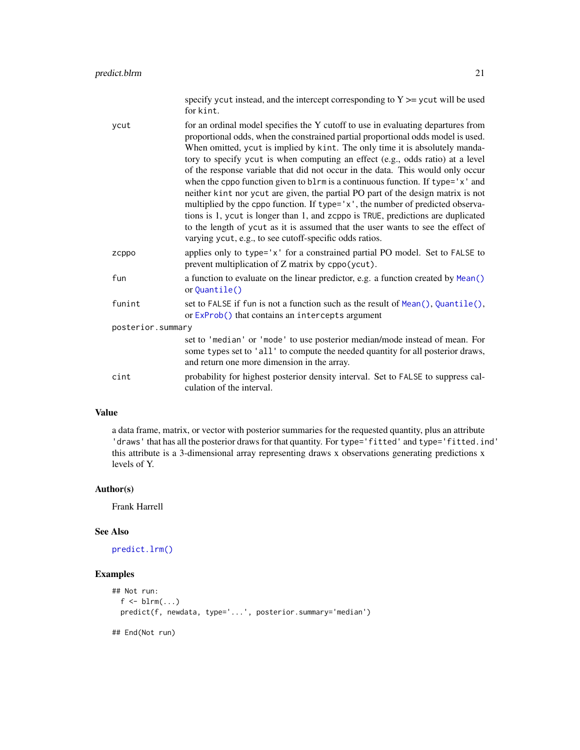<span id="page-20-0"></span>for kint. ycut for an ordinal model specifies the Y cutoff to use in evaluating departures from proportional odds, when the constrained partial proportional odds model is used. When omitted, ycut is implied by kint. The only time it is absolutely mandatory to specify ycut is when computing an effect (e.g., odds ratio) at a level of the response variable that did not occur in the data. This would only occur when the cppo function given to blrm is a continuous function. If type='x' and neither kint nor ycut are given, the partial PO part of the design matrix is not multiplied by the cppo function. If type='x', the number of predicted observations is 1, ycut is longer than 1, and zcppo is TRUE, predictions are duplicated to the length of ycut as it is assumed that the user wants to see the effect of varying ycut, e.g., to see cutoff-specific odds ratios. zcppo applies only to type='x' for a constrained partial PO model. Set to FALSE to prevent multiplication of Z matrix by cppo(ycut). fun a function to evaluate on the linear predictor, e.g. a function created by [Mean\(\)](#page-0-0) or [Quantile\(\)](#page-0-0) funint set to FALSE if fun is not a function such as the result of [Mean\(\)](#page-0-0), [Quantile\(\)](#page-0-0), or [ExProb\(\)](#page-0-0) that contains an intercepts argument posterior.summary set to 'median' or 'mode' to use posterior median/mode instead of mean. For some types set to 'all' to compute the needed quantity for all posterior draws, and return one more dimension in the array. cint probability for highest posterior density interval. Set to FALSE to suppress calculation of the interval.

#### Value

a data frame, matrix, or vector with posterior summaries for the requested quantity, plus an attribute 'draws' that has all the posterior draws for that quantity. For type='fitted' and type='fitted.ind' this attribute is a 3-dimensional array representing draws x observations generating predictions x levels of Y.

#### Author(s)

Frank Harrell

#### See Also

[predict.lrm\(\)](#page-0-0)

#### Examples

```
## Not run:
  f \leftarrow \text{blrm}(\dots)predict(f, newdata, type='...', posterior.summary='median')
## End(Not run)
```
specify ycut instead, and the intercept corresponding to  $Y \ge y$  cut will be used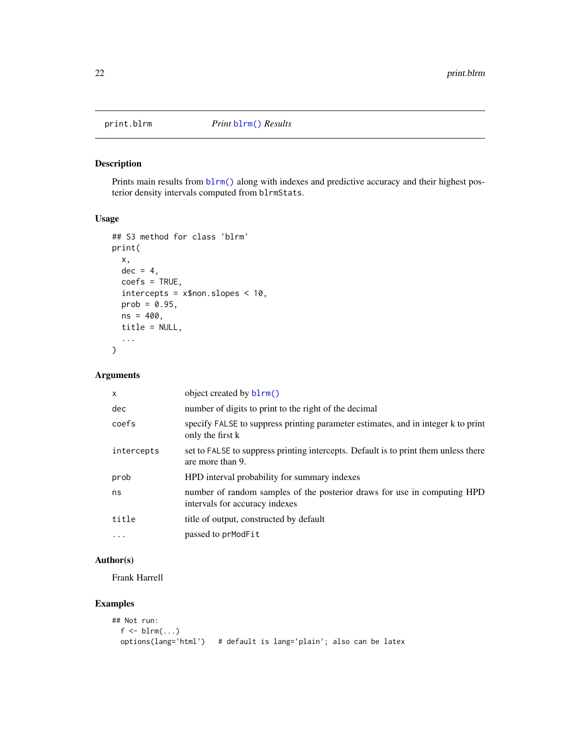<span id="page-21-1"></span><span id="page-21-0"></span>

Prints main results from  $blrm()$  along with indexes and predictive accuracy and their highest posterior density intervals computed from blrmStats.

# Usage

```
## S3 method for class 'blrm'
print(
 x,
 dec = 4,
 coefs = TRUE,
  intercepts = x$non.slopes < 10,
 prob = 0.95,
 ns = 400,title = NULL,
  ...
)
```
# Arguments

| $\mathsf{x}$ | object created by b1rm()                                                                                   |
|--------------|------------------------------------------------------------------------------------------------------------|
| dec          | number of digits to print to the right of the decimal                                                      |
| coefs        | specify FALSE to suppress printing parameter estimates, and in integer k to print<br>only the first k      |
| intercepts   | set to FALSE to suppress printing intercepts. Default is to print them unless there<br>are more than 9.    |
| prob         | HPD interval probability for summary indexes                                                               |
| ns           | number of random samples of the posterior draws for use in computing HPD<br>intervals for accuracy indexes |
| title        | title of output, constructed by default                                                                    |
|              | passed to prModFit                                                                                         |

# Author(s)

Frank Harrell

# Examples

```
## Not run:
  f \leftarrow \text{blrm}(\dots)options(lang='html') # default is lang='plain'; also can be latex
```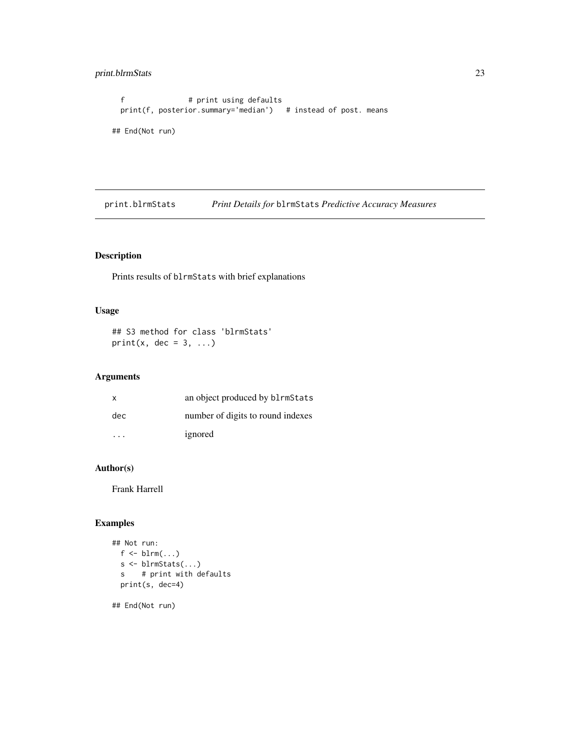# <span id="page-22-0"></span>print.blrmStats 23

```
f # print using defaults
 print(f, posterior.summary='median') # instead of post. means
## End(Not run)
```
print.blrmStats *Print Details for* blrmStats *Predictive Accuracy Measures*

# Description

Prints results of blrmStats with brief explanations

# Usage

```
## S3 method for class 'blrmStats'
print(x, dec = 3, ...)
```
# Arguments

| X   | an object produced by blrmStats   |
|-----|-----------------------------------|
| dec | number of digits to round indexes |
| .   | ignored                           |

# Author(s)

Frank Harrell

# Examples

```
## Not run:
  f \leftarrow \text{blrm}(\dots)s <- blrmStats(...)
  s # print with defaults
  print(s, dec=4)
```
## End(Not run)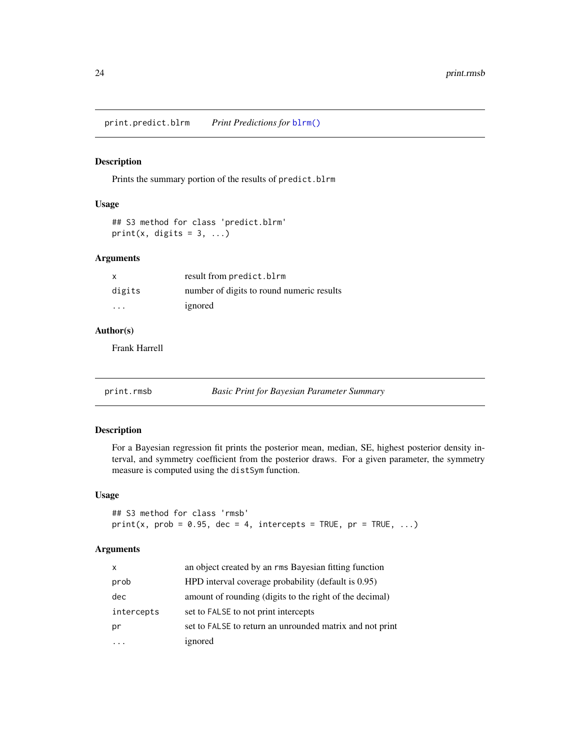<span id="page-23-0"></span>print.predict.blrm *Print Predictions for* [blrm\(\)](#page-3-1)

### Description

Prints the summary portion of the results of predict.blrm

#### Usage

```
## S3 method for class 'predict.blrm'
print(x, digits = 3, ...)
```
# Arguments

| X                 | result from predict.blrm                  |
|-------------------|-------------------------------------------|
| digits            | number of digits to round numeric results |
| $\cdot\cdot\cdot$ | ignored                                   |

# Author(s)

Frank Harrell

<span id="page-23-1"></span>print.rmsb *Basic Print for Bayesian Parameter Summary*

# Description

For a Bayesian regression fit prints the posterior mean, median, SE, highest posterior density interval, and symmetry coefficient from the posterior draws. For a given parameter, the symmetry measure is computed using the distSym function.

### Usage

```
## S3 method for class 'rmsb'
print(x, prob = 0.95, dec = 4, intercepts = TRUE, pr = TRUE, ...)
```
# Arguments

| X          | an object created by an rms Bayesian fitting function    |
|------------|----------------------------------------------------------|
| prob       | HPD interval coverage probability (default is 0.95)      |
| dec        | amount of rounding (digits to the right of the decimal)  |
| intercepts | set to FALSE to not print intercepts                     |
| pr         | set to FALSE to return an unrounded matrix and not print |
|            | ignored                                                  |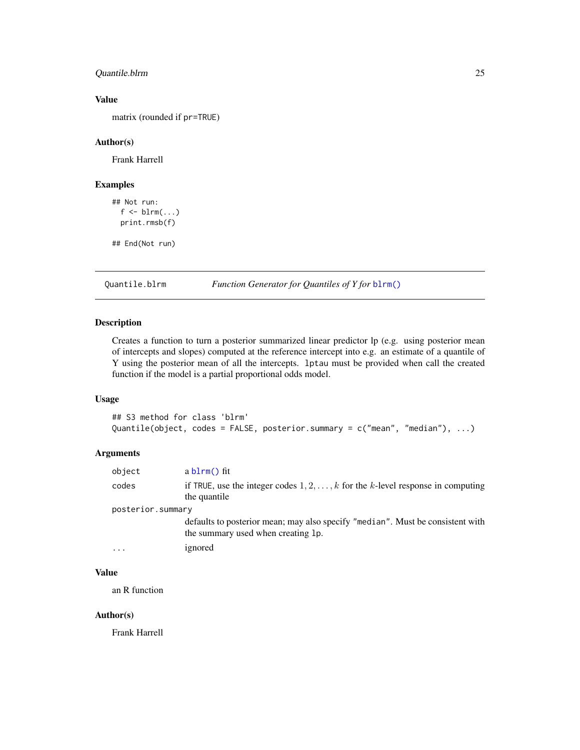# <span id="page-24-0"></span>Quantile.blrm 25

# Value

matrix (rounded if pr=TRUE)

#### Author(s)

Frank Harrell

#### Examples

```
## Not run:
  f \leftarrow \text{blrm}(\dots)print.rmsb(f)
```
## End(Not run)

Quantile.blrm *Function Generator for Quantiles of Y for* [blrm\(\)](#page-3-1)

# Description

Creates a function to turn a posterior summarized linear predictor lp (e.g. using posterior mean of intercepts and slopes) computed at the reference intercept into e.g. an estimate of a quantile of Y using the posterior mean of all the intercepts. lptau must be provided when call the created function if the model is a partial proportional odds model.

#### Usage

```
## S3 method for class 'blrm'
Quantile(object, codes = FALSE, posterior.summary = c("mean", "median"), ...)
```
# Arguments

| object            | $ablm()$ fit                                                                                                         |
|-------------------|----------------------------------------------------------------------------------------------------------------------|
| codes             | if TRUE, use the integer codes $1, 2, \ldots, k$ for the k-level response in computing<br>the quantile               |
| posterior.summary |                                                                                                                      |
|                   | defaults to posterior mean; may also specify "median". Must be consistent with<br>the summary used when creating 1p. |
| .                 | ignored                                                                                                              |

# Value

an R function

# Author(s)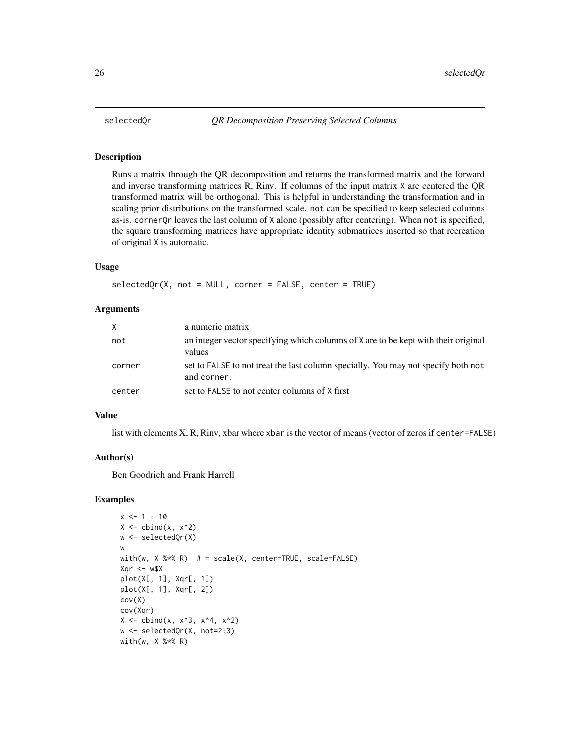<span id="page-25-0"></span>

Runs a matrix through the QR decomposition and returns the transformed matrix and the forward and inverse transforming matrices R, Rinv. If columns of the input matrix X are centered the QR transformed matrix will be orthogonal. This is helpful in understanding the transformation and in scaling prior distributions on the transformed scale. not can be specified to keep selected columns as-is. cornerQr leaves the last column of X alone (possibly after centering). When not is specified, the square transforming matrices have appropriate identity submatrices inserted so that recreation of original X is automatic.

#### Usage

selectedQr(X, not = NULL, corner = FALSE, center = TRUE)

#### Arguments

| X      | a numeric matrix                                                                                 |
|--------|--------------------------------------------------------------------------------------------------|
| not    | an integer vector specifying which columns of X are to be kept with their original<br>values     |
| corner | set to FALSE to not treat the last column specially. You may not specify both not<br>and corner. |
| center | set to FALSE to not center columns of X first                                                    |

#### Value

list with elements X, R, Rinv, xbar where xbar is the vector of means (vector of zeros if center=FALSE)

# Author(s)

Ben Goodrich and Frank Harrell

# Examples

```
x \le -1 : 10X \leftarrow \text{cbind}(x, x^2)w <- selectedQr(X)
w
with(w, X %*% R) # = scale(X, center=True, scale=False)Xqr < -w$Xplot(X[, 1], Xqr[, 1])
plot(X[, 1], Xqr[, 2])
cov(X)
cov(Xqr)
X \leftarrow \text{cbind}(x, x^3, x^4, x^2)w <- selectedQr(X, not=2:3)
with(w, X %*% R)
```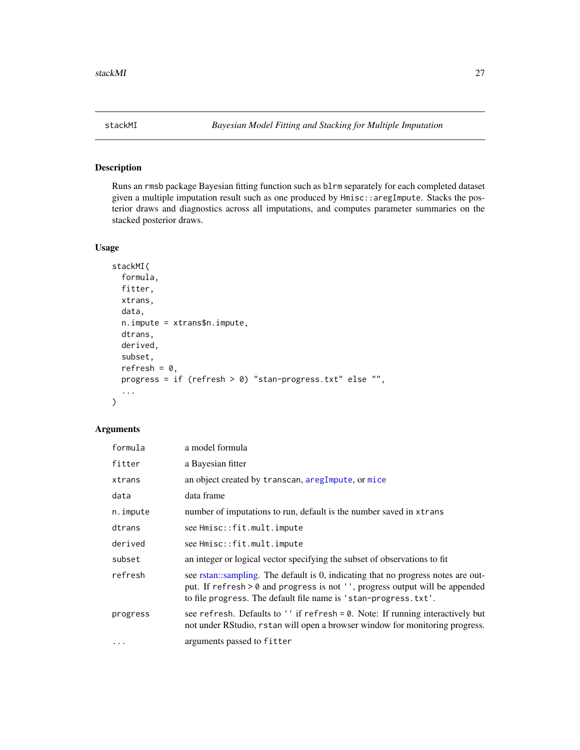<span id="page-26-1"></span><span id="page-26-0"></span>

Runs an rmsb package Bayesian fitting function such as blrm separately for each completed dataset given a multiple imputation result such as one produced by Hmisc::aregImpute. Stacks the posterior draws and diagnostics across all imputations, and computes parameter summaries on the stacked posterior draws.

#### Usage

```
stackMI(
  formula,
  fitter,
 xtrans,
  data,
 n.impute = xtrans$n.impute,
  dtrans,
  derived,
  subset,
  refresh = 0,
 progress = if (refresh > 0) "stan-progress.txt" else "",
  ...
\mathcal{L}
```
# Arguments

| formula  | a model formula                                                                                                                                                                                                                      |
|----------|--------------------------------------------------------------------------------------------------------------------------------------------------------------------------------------------------------------------------------------|
| fitter   | a Bayesian fitter                                                                                                                                                                                                                    |
| xtrans   | an object created by transcan, aregImpute, or mice                                                                                                                                                                                   |
| data     | data frame                                                                                                                                                                                                                           |
| n.impute | number of imputations to run, default is the number saved in xtrans                                                                                                                                                                  |
| dtrans   | see Hmisc::fit.mult.impute                                                                                                                                                                                                           |
| derived  | see Hmisc::fit.mult.impute                                                                                                                                                                                                           |
| subset   | an integer or logical vector specifying the subset of observations to fit                                                                                                                                                            |
| refresh  | see rstan::sampling. The default is 0, indicating that no progress notes are out-<br>put. If refresh > 0 and progress is not '', progress output will be appended<br>to file progress. The default file name is 'stan-progress.txt'. |
| progress | see refresh. Defaults to '' if refresh = 0. Note: If running interactively but<br>not under RStudio, rstan will open a browser window for monitoring progress.                                                                       |
| $\cdots$ | arguments passed to fitter                                                                                                                                                                                                           |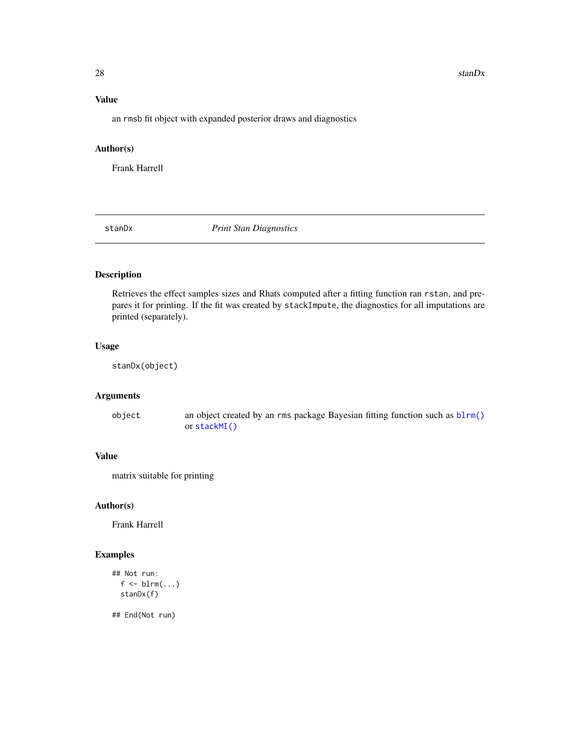#### <span id="page-27-0"></span>28 stanDx  $\frac{1}{2}$  stanDx

# Value

an rmsb fit object with expanded posterior draws and diagnostics

#### Author(s)

Frank Harrell

<span id="page-27-1"></span>stanDx *Print Stan Diagnostics*

# Description

Retrieves the effect samples sizes and Rhats computed after a fitting function ran rstan, and prepares it for printing. If the fit was created by stackImpute, the diagnostics for all imputations are printed (separately).

# Usage

stanDx(object)

# Arguments

object an object created by an rms package Bayesian fitting function such as [blrm\(\)](#page-3-1) or [stackMI\(\)](#page-26-1)

# Value

matrix suitable for printing

#### Author(s)

Frank Harrell

# Examples

```
## Not run:
  f \leftarrow \text{blrm}(\dots)stanDx(f)
```
## End(Not run)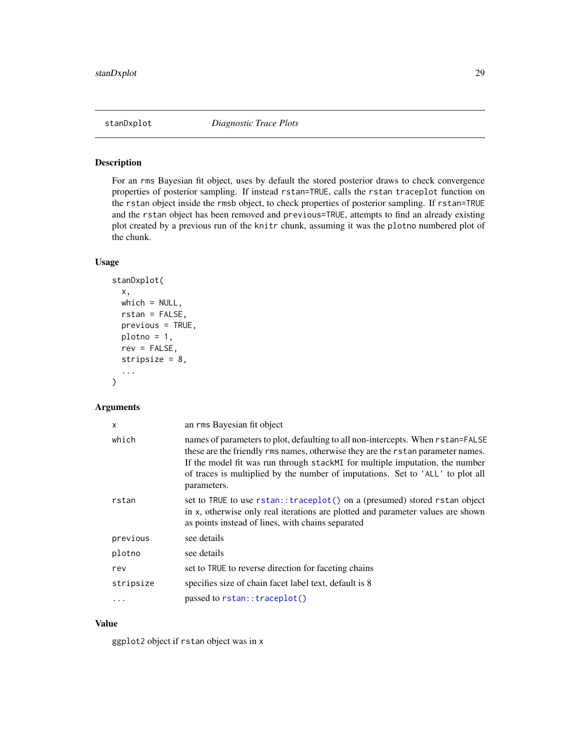<span id="page-28-0"></span>

For an rms Bayesian fit object, uses by default the stored posterior draws to check convergence properties of posterior sampling. If instead rstan=TRUE, calls the rstan traceplot function on the rstan object inside the rmsb object, to check properties of posterior sampling. If rstan=TRUE and the rstan object has been removed and previous=TRUE, attempts to find an already existing plot created by a previous run of the knitr chunk, assuming it was the plotno numbered plot of the chunk.

#### Usage

```
stanDxplot(
  x,
  which = NULL,
  rstan = FALSE,
  previous = TRUE,
 plotno = 1,
  rev = FALSE,
  stripsize = 8,
  ...
\mathcal{L}
```
# Arguments

| X         | an rms Bayesian fit object                                                                                                                                                                                                                                                                                                                           |
|-----------|------------------------------------------------------------------------------------------------------------------------------------------------------------------------------------------------------------------------------------------------------------------------------------------------------------------------------------------------------|
| which     | names of parameters to plot, defaulting to all non-intercepts. When rstan=FALSE<br>these are the friendly rms names, otherwise they are the rstan parameter names.<br>If the model fit was run through stack MI for multiple imputation, the number<br>of traces is multiplied by the number of imputations. Set to 'ALL' to plot all<br>parameters. |
| rstan     | set to TRUE to use rstan::traceplot() on a (presumed) stored rstan object<br>in x, otherwise only real iterations are plotted and parameter values are shown<br>as points instead of lines, with chains separated                                                                                                                                    |
| previous  | see details                                                                                                                                                                                                                                                                                                                                          |
| plotno    | see details                                                                                                                                                                                                                                                                                                                                          |
| rev       | set to TRUE to reverse direction for faceting chains                                                                                                                                                                                                                                                                                                 |
| stripsize | specifies size of chain facet label text, default is 8                                                                                                                                                                                                                                                                                               |
| $\cdots$  | passed to rstan:: traceplot()                                                                                                                                                                                                                                                                                                                        |

# Value

ggplot2 object if rstan object was in x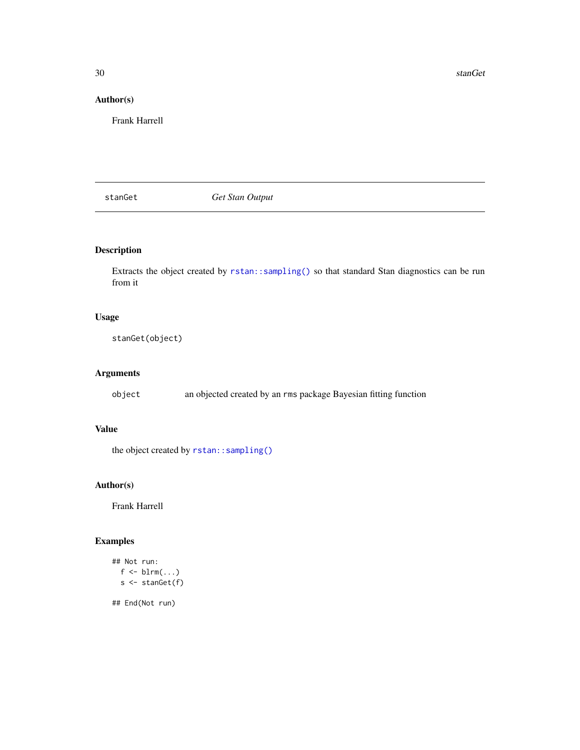<span id="page-29-0"></span>30 stanGet

# Author(s)

Frank Harrell

<span id="page-29-1"></span>stanGet *Get Stan Output*

# Description

Extracts the object created by [rstan::sampling\(\)](#page-0-0) so that standard Stan diagnostics can be run from it

# Usage

stanGet(object)

# Arguments

object an objected created by an rms package Bayesian fitting function

# Value

the object created by [rstan::sampling\(\)](#page-0-0)

# Author(s)

Frank Harrell

# Examples

```
## Not run:
  f \leftarrow \text{blrm}(\dots)s <- stanGet(f)
```
## End(Not run)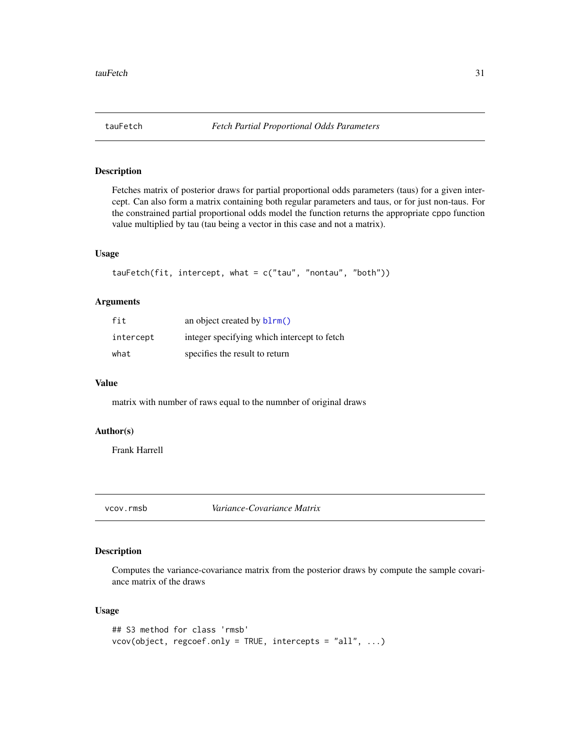<span id="page-30-0"></span>

Fetches matrix of posterior draws for partial proportional odds parameters (taus) for a given intercept. Can also form a matrix containing both regular parameters and taus, or for just non-taus. For the constrained partial proportional odds model the function returns the appropriate cppo function value multiplied by tau (tau being a vector in this case and not a matrix).

#### Usage

```
tauFetch(fit, intercept, what = c("tau", "nontau", "both"))
```
# Arguments

| fit       | an object created by blrm()                 |
|-----------|---------------------------------------------|
| intercept | integer specifying which intercept to fetch |
| what      | specifies the result to return              |

#### Value

matrix with number of raws equal to the numnber of original draws

#### Author(s)

Frank Harrell

<span id="page-30-1"></span>vcov.rmsb *Variance-Covariance Matrix*

#### Description

Computes the variance-covariance matrix from the posterior draws by compute the sample covariance matrix of the draws

# Usage

```
## S3 method for class 'rmsb'
vcov(object, regcoef.only = TRUE, intercepts = "all", ...)
```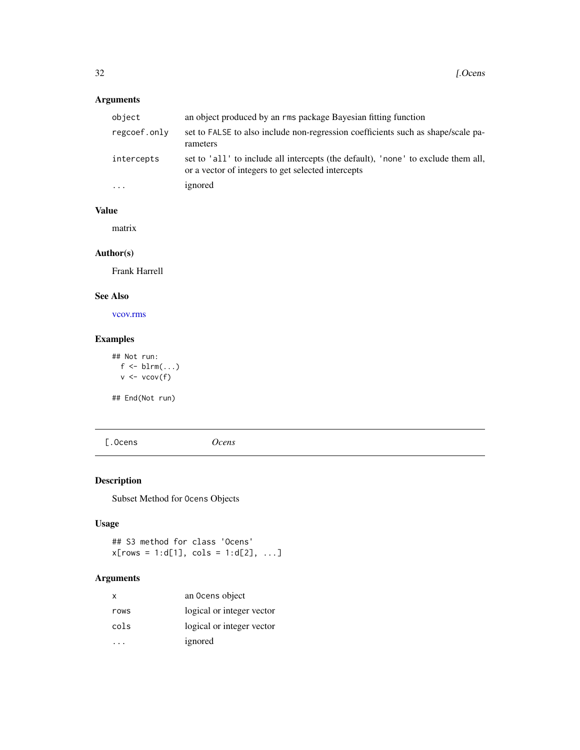# <span id="page-31-0"></span>Arguments

| object       | an object produced by an rms package Bayesian fitting function                                                                          |
|--------------|-----------------------------------------------------------------------------------------------------------------------------------------|
| regcoef.onlv | set to FALSE to also include non-regression coefficients such as shape/scale pa-<br>rameters                                            |
| intercepts   | set to 'all' to include all intercepts (the default), 'none' to exclude them all,<br>or a vector of integers to get selected intercepts |
| .            | ignored                                                                                                                                 |

# Value

matrix

# Author(s)

Frank Harrell

# See Also

[vcov.rms](#page-0-0)

# Examples

## Not run:  $f \leftarrow \text{blrm}(\dots)$  $v \leftarrow vcov(f)$ 

## End(Not run)

[.Ocens *Ocens*

# Description

Subset Method for Ocens Objects

# Usage

## S3 method for class 'Ocens'  $x[rows = 1:d[1], cols = 1:d[2], ...]$ 

# Arguments

| X    | an Ocens object           |
|------|---------------------------|
| rows | logical or integer vector |
| cols | logical or integer vector |
|      | ignored                   |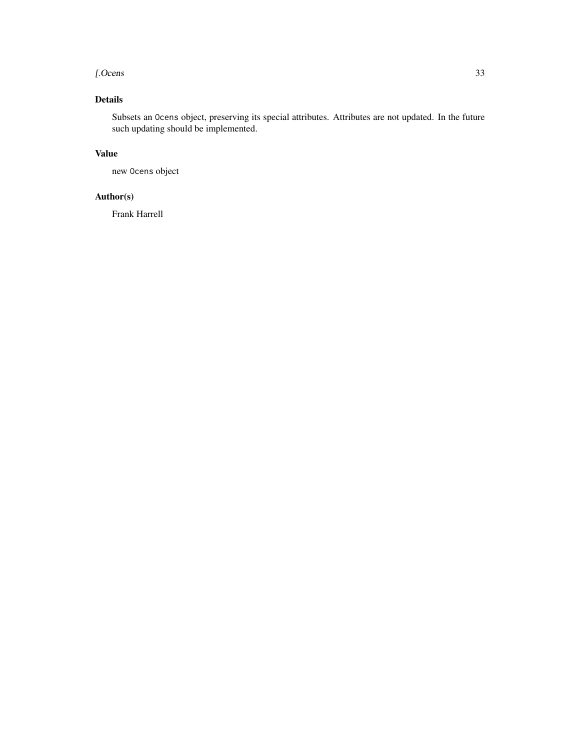#### [.Ocens 33

# Details

Subsets an Ocens object, preserving its special attributes. Attributes are not updated. In the future such updating should be implemented.

# Value

new Ocens object

# Author(s)